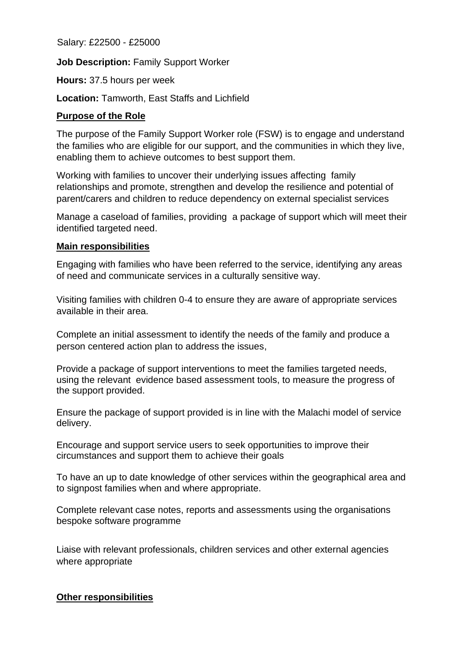Salary: £22500 - £25000

**Job Description:** Family Support Worker

**Hours:** 37.5 hours per week

**Location:** Tamworth, East Staffs and Lichfield

## **Purpose of the Role**

The purpose of the Family Support Worker role (FSW) is to engage and understand the families who are eligible for our support, and the communities in which they live, enabling them to achieve outcomes to best support them.

Working with families to uncover their underlying issues affecting family relationships and promote, strengthen and develop the resilience and potential of parent/carers and children to reduce dependency on external specialist services

Manage a caseload of families, providing a package of support which will meet their identified targeted need.

## **Main responsibilities**

Engaging with families who have been referred to the service, identifying any areas of need and communicate services in a culturally sensitive way.

Visiting families with children 0-4 to ensure they are aware of appropriate services available in their area.

Complete an initial assessment to identify the needs of the family and produce a person centered action plan to address the issues,

Provide a package of support interventions to meet the families targeted needs, using the relevant evidence based assessment tools, to measure the progress of the support provided.

Ensure the package of support provided is in line with the Malachi model of service delivery.

Encourage and support service users to seek opportunities to improve their circumstances and support them to achieve their goals

To have an up to date knowledge of other services within the geographical area and to signpost families when and where appropriate.

Complete relevant case notes, reports and assessments using the organisations bespoke software programme

Liaise with relevant professionals, children services and other external agencies where appropriate

## **Other responsibilities**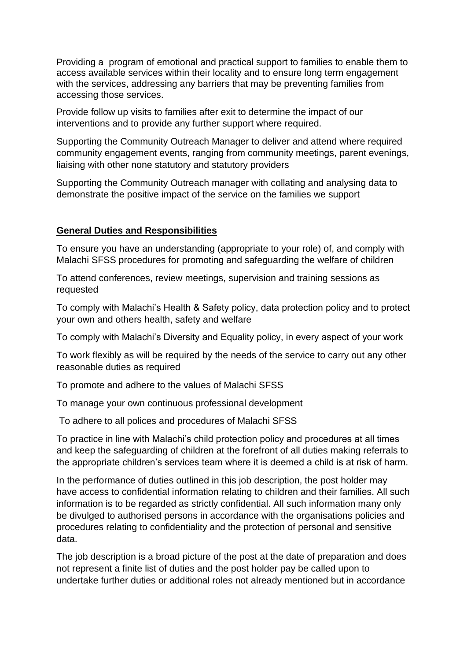Providing a program of emotional and practical support to families to enable them to access available services within their locality and to ensure long term engagement with the services, addressing any barriers that may be preventing families from accessing those services.

Provide follow up visits to families after exit to determine the impact of our interventions and to provide any further support where required.

Supporting the Community Outreach Manager to deliver and attend where required community engagement events, ranging from community meetings, parent evenings, liaising with other none statutory and statutory providers

Supporting the Community Outreach manager with collating and analysing data to demonstrate the positive impact of the service on the families we support

## **General Duties and Responsibilities**

To ensure you have an understanding (appropriate to your role) of, and comply with Malachi SFSS procedures for promoting and safeguarding the welfare of children

To attend conferences, review meetings, supervision and training sessions as requested

To comply with Malachi's Health & Safety policy, data protection policy and to protect your own and others health, safety and welfare

To comply with Malachi's Diversity and Equality policy, in every aspect of your work

To work flexibly as will be required by the needs of the service to carry out any other reasonable duties as required

To promote and adhere to the values of Malachi SFSS

To manage your own continuous professional development

To adhere to all polices and procedures of Malachi SFSS

To practice in line with Malachi's child protection policy and procedures at all times and keep the safeguarding of children at the forefront of all duties making referrals to the appropriate children's services team where it is deemed a child is at risk of harm.

In the performance of duties outlined in this job description, the post holder may have access to confidential information relating to children and their families. All such information is to be regarded as strictly confidential. All such information many only be divulged to authorised persons in accordance with the organisations policies and procedures relating to confidentiality and the protection of personal and sensitive data.

The job description is a broad picture of the post at the date of preparation and does not represent a finite list of duties and the post holder pay be called upon to undertake further duties or additional roles not already mentioned but in accordance